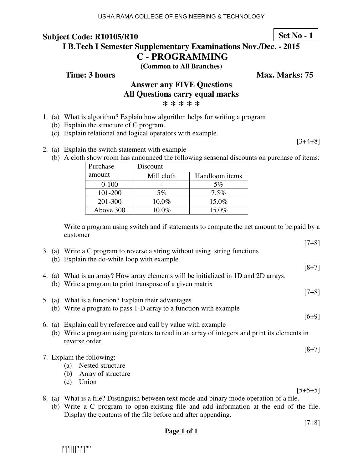# **Subject Code: R10105/R10**

**I B.Tech I Semester Supplementary Examinations Nov./Dec. - 2015 C - PROGRAMMING** 

**(Common to All Branches)**

**Time: 3 hours** Max. Marks: 75

## **Answer any FIVE Questions All Questions carry equal marks**

**\* \* \* \* \***

- 1. (a) What is algorithm? Explain how algorithm helps for writing a program
	- (b) Explain the structure of C program.
	- (c) Explain relational and logical operators with example.

 $[3+4+8]$ 

- 2. (a) Explain the switch statement with example
	- (b) A cloth show room has announced the following seasonal discounts on purchase of items:

| Purchase  | Discount   |                |
|-----------|------------|----------------|
| amount    | Mill cloth | Handloom items |
| $0 - 100$ |            | 5%             |
| 101-200   | 5%         | 7.5%           |
| 201-300   | 10.0%      | 15.0%          |
| Above 300 | $10.0\%$   | 15.0%          |

Write a program using switch and if statements to compute the net amount to be paid by a customer

|     |                                                                                                                           | $[7+8]$   |
|-----|---------------------------------------------------------------------------------------------------------------------------|-----------|
|     | 3. (a) Write a C program to reverse a string without using string functions<br>(b) Explain the do-while loop with example |           |
|     |                                                                                                                           | $[8+7]$   |
|     | 4. (a) What is an array? How array elements will be initialized in 1D and 2D arrays.                                      |           |
|     | (b) Write a program to print transpose of a given matrix                                                                  |           |
|     |                                                                                                                           | $[7+8]$   |
|     | 5. (a) What is a function? Explain their advantages                                                                       |           |
|     | (b) Write a program to pass 1-D array to a function with example                                                          |           |
|     |                                                                                                                           | $[6+9]$   |
|     | 6. (a) Explain call by reference and call by value with example                                                           |           |
|     | (b) Write a program using pointers to read in an array of integers and print its elements in                              |           |
|     | reverse order.                                                                                                            |           |
|     |                                                                                                                           | $[8+7]$   |
|     | 7. Explain the following:                                                                                                 |           |
|     | Nested structure<br>(a)                                                                                                   |           |
|     | Array of structure<br>(b)                                                                                                 |           |
|     | Union<br>(c)                                                                                                              |           |
|     |                                                                                                                           | $[5+5+5]$ |
|     | 8. (a) What is a file? Distinguish between text mode and binary mode operation of a file.                                 |           |
| (b) | Write a C program to open-existing file and add information at the end of the file.                                       |           |
|     | Display the contents of the file before and after appending.                                                              |           |

#### [7+8]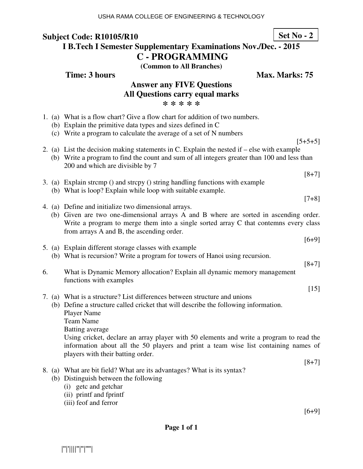## **Subject Code: R10105/R10 I B.Tech I Semester Supplementary Examinations Nov./Dec. - 2015**

**C - PROGRAMMING** 

**(Common to All Branches)**

**Time: 3 hours** Max. Marks: 75

|    | <b>Answer any FIVE Questions</b><br><b>All Questions carry equal marks</b><br>* * * * * |                                                                                                                                                                                                                                             |  |  |
|----|-----------------------------------------------------------------------------------------|---------------------------------------------------------------------------------------------------------------------------------------------------------------------------------------------------------------------------------------------|--|--|
|    |                                                                                         | 1. (a) What is a flow chart? Give a flow chart for addition of two numbers.<br>(b) Explain the primitive data types and sizes defined in C<br>(c) Write a program to calculate the average of a set of N numbers                            |  |  |
|    |                                                                                         | $[5+5+5]$<br>2. (a) List the decision making statements in C. Explain the nested if – else with example<br>(b) Write a program to find the count and sum of all integers greater than 100 and less than<br>200 and which are divisible by 7 |  |  |
|    |                                                                                         | $[8+7]$                                                                                                                                                                                                                                     |  |  |
|    |                                                                                         | 3. (a) Explain strcmp () and strcpy () string handling functions with example<br>(b) What is loop? Explain while loop with suitable example.                                                                                                |  |  |
|    |                                                                                         | $[7+8]$                                                                                                                                                                                                                                     |  |  |
|    |                                                                                         | 4. (a) Define and initialize two dimensional arrays.                                                                                                                                                                                        |  |  |
|    |                                                                                         | (b) Given are two one-dimensional arrays A and B where are sorted in ascending order.<br>Write a program to merge them into a single sorted array C that contemns every class<br>from arrays A and B, the ascending order.                  |  |  |
|    |                                                                                         | $[6+9]$                                                                                                                                                                                                                                     |  |  |
|    |                                                                                         | 5. (a) Explain different storage classes with example                                                                                                                                                                                       |  |  |
|    |                                                                                         | (b) What is recursion? Write a program for towers of Hanoi using recursion.                                                                                                                                                                 |  |  |
|    |                                                                                         | $[8+7]$                                                                                                                                                                                                                                     |  |  |
| 6. |                                                                                         | What is Dynamic Memory allocation? Explain all dynamic memory management                                                                                                                                                                    |  |  |
|    |                                                                                         | functions with examples<br>$[15]$                                                                                                                                                                                                           |  |  |
|    |                                                                                         | 7. (a) What is a structure? List differences between structure and unions                                                                                                                                                                   |  |  |
|    |                                                                                         | (b) Define a structure called cricket that will describe the following information.                                                                                                                                                         |  |  |
|    |                                                                                         | <b>Player Name</b>                                                                                                                                                                                                                          |  |  |
|    |                                                                                         | <b>Team Name</b>                                                                                                                                                                                                                            |  |  |
|    |                                                                                         | <b>Batting average</b>                                                                                                                                                                                                                      |  |  |
|    |                                                                                         | Using cricket, declare an array player with 50 elements and write a program to read the<br>information about all the 50 players and print a team wise list containing names of<br>players with their batting order.                         |  |  |
|    |                                                                                         | $[8+7]$                                                                                                                                                                                                                                     |  |  |
|    |                                                                                         | 8. (a) What are bit field? What are its advantages? What is its syntax?                                                                                                                                                                     |  |  |
|    |                                                                                         | (b) Distinguish between the following<br>(i) getc and getchar                                                                                                                                                                               |  |  |
|    |                                                                                         |                                                                                                                                                                                                                                             |  |  |

- (ii) printf and fprintf
- (iii) feof and ferror

[6+9]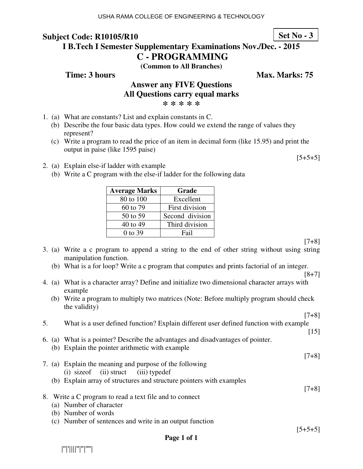### **Subject Code: R10105/R10 I B.Tech I Semester Supplementary Examinations Nov./Dec. - 2015**

**C - PROGRAMMING** 

**(Common to All Branches)**

**Time: 3 hours** Max. Marks: 75

#### **Answer any FIVE Questions All Questions carry equal marks \* \* \* \* \***

- 1. (a) What are constants? List and explain constants in C.
	- (b) Describe the four basic data types. How could we extend the range of values they represent?
	- (c) Write a program to read the price of an item in decimal form (like 15.95) and print the output in paise (like 1595 paise)
- 2. (a) Explain else-if ladder with example
	- (b) Write a C program with the else-if ladder for the following data

| <b>Average Marks</b> | Grade           |
|----------------------|-----------------|
| 80 to 100            | Excellent       |
| 60 to 79             | First division  |
| 50 to 59             | Second division |
| 40 to 49             | Third division  |
| 0 to 39              | Fail            |

 $[7+8]$ 

 $[5+5+5]$ 

- 3. (a) Write a c program to append a string to the end of other string without using string manipulation function.
	- (b) What is a for loop? Write a c program that computes and prints factorial of an integer.

[8+7]

[7+8]

- 4. (a) What is a character array? Define and initialize two dimensional character arrays with example
	- (b) Write a program to multiply two matrices (Note: Before multiply program should check the validity)

| 5. | What is a user defined function? Explain different user defined function with example |                    |
|----|---------------------------------------------------------------------------------------|--------------------|
|    |                                                                                       | $\lceil 15 \rceil$ |
|    | 6. (a) What is a pointer? Describe the advantages and disadvantages of pointer.       |                    |
|    | (b) Explain the pointer arithmetic with example                                       |                    |
|    |                                                                                       | $[7+8]$            |
|    | 7. (a) Explain the meaning and purpose of the following                               |                    |
|    | (i) size of (ii) struct (iii) typedef                                                 |                    |
|    | (b) Explain array of structures and structure pointers with examples                  |                    |
|    |                                                                                       | $[7+8]$            |
|    | 8. Write a C program to read a text file and to connect                               |                    |
|    | (a) Number of character                                                               |                    |
|    | (b) Number of words                                                                   |                    |
|    | $\lambda$ at $1$ c $\lambda$ it is the set of $\lambda$                               |                    |

(c) Number of sentences and write in an output function

 $[5+5+5]$ 

|''|'||||''|''|''''|

**Set No - 3**